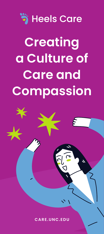# **៉** Heels Care **Creating a Culture of Care and Compassion**

**CARE.UNC.EDU**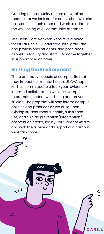Creating a community of care at Carolina means that we look out for each other. We take an interest in each other and work to address the well-being of all community members.

The Heels Care Network website is a place for all Tar Heels — undergraduate, graduate and professional students, and post-docs, as well as faculty and staff — to come together in support of each other.

## **Shifting the Environment**

There are many aspects of campus life that may impact our mental health. UNC-Chapel Hill has committed to a four-year, evidenceinformed collaboration with JED Campus to promote student well-being and prevent suicide. The program will help inform campus policies and practices as we build upon existing student mental health, substance use, and suicide prevention/intervention/ postvention efforts, led by UNC Student Affairs and with the advice and support of a campuswide task force.

**ARE.U**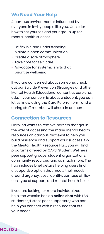## **We Need Your Help**

A campus environment is influenced by everyone in it—by people like you. Consider how to set yourself and your group up for mental health success.

- Be flexible and understanding.
- Maintain open communication.
- Create a safe atmosphere.
- Take time for self-care.
- Advocate for systemic shifts that prioritize wellbeing.

If you are concerned about someone, check out our Suicide Prevention Strategies and other Mental Health Educational content at care.unc. edu. If your concern is about a student, you can let us know using the Care Referral form, and a caring staff member will check in on them.

## **Connection to Resources**

Carolina wants to remove barriers that get in the way of accessing the many mental health resources on campus that exist to help you build resilience and support your success. On the Mental Health Resource Hub, you will find programs offered by CAPS, Student Wellness, peer support groups, student organizations, community resources, and so much more. The hub includes brief details helping users find a supportive option that meets their needs around urgency, cost, identity, campus affiliation, type of support, and mental health issue.

If you are looking for more individualized help, the website has an **online chat** with LSN students ("Listen" peer supporters) who can help you connect with a resource that fits your needs.